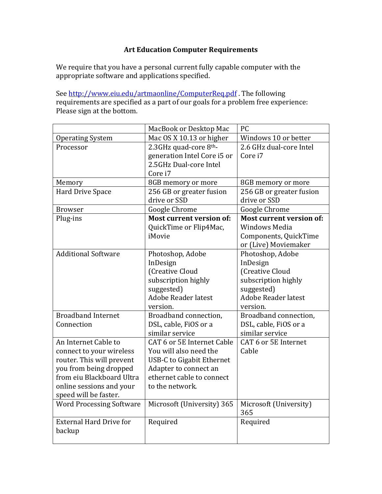## **Art Education Computer Requirements**

We require that you have a personal current fully capable computer with the appropriate software and applications specified.

See http://www.eiu.edu/artmaonline/ComputerReq.pdf. The following requirements are specified as a part of our goals for a problem free experience: Please sign at the bottom.

|                                 | MacBook or Desktop Mac           | PC                              |
|---------------------------------|----------------------------------|---------------------------------|
| <b>Operating System</b>         | Mac OS X 10.13 or higher         | Windows 10 or better            |
| Processor                       | 2.3GHz quad-core 8th-            | 2.6 GHz dual-core Intel         |
|                                 | generation Intel Core i5 or      | Core i7                         |
|                                 | 2.5GHz Dual-core Intel           |                                 |
|                                 | Core i7                          |                                 |
| Memory                          | 8GB memory or more               | 8GB memory or more              |
| Hard Drive Space                | 256 GB or greater fusion         | 256 GB or greater fusion        |
|                                 | drive or SSD                     | drive or SSD                    |
| <b>Browser</b>                  | Google Chrome                    | Google Chrome                   |
| Plug-ins                        | <b>Most current version of:</b>  | <b>Most current version of:</b> |
|                                 | QuickTime or Flip4Mac,           | <b>Windows Media</b>            |
|                                 | iMovie                           | Components, QuickTime           |
|                                 |                                  | or (Live) Moviemaker            |
| <b>Additional Software</b>      | Photoshop, Adobe                 | Photoshop, Adobe                |
|                                 | InDesign                         | InDesign                        |
|                                 | (Creative Cloud                  | (Creative Cloud                 |
|                                 | subscription highly              | subscription highly             |
|                                 | suggested)                       | suggested)                      |
|                                 | <b>Adobe Reader latest</b>       | <b>Adobe Reader latest</b>      |
|                                 | version.                         | version.                        |
| <b>Broadband Internet</b>       | Broadband connection,            | Broadband connection,           |
| Connection                      | DSL, cable, FiOS or a            | DSL, cable, FiOS or a           |
|                                 | similar service                  | similar service                 |
| An Internet Cable to            | CAT 6 or 5E Internet Cable       | CAT 6 or 5E Internet            |
| connect to your wireless        | You will also need the           | Cable                           |
| router. This will prevent       | <b>USB-C to Gigabit Ethernet</b> |                                 |
| you from being dropped          | Adapter to connect an            |                                 |
| from eiu Blackboard Ultra       | ethernet cable to connect        |                                 |
| online sessions and your        | to the network.                  |                                 |
| speed will be faster.           |                                  |                                 |
| <b>Word Processing Software</b> | Microsoft (University) 365       | Microsoft (University)          |
|                                 |                                  | 365                             |
| <b>External Hard Drive for</b>  | Required                         | Required                        |
| backup                          |                                  |                                 |
|                                 |                                  |                                 |